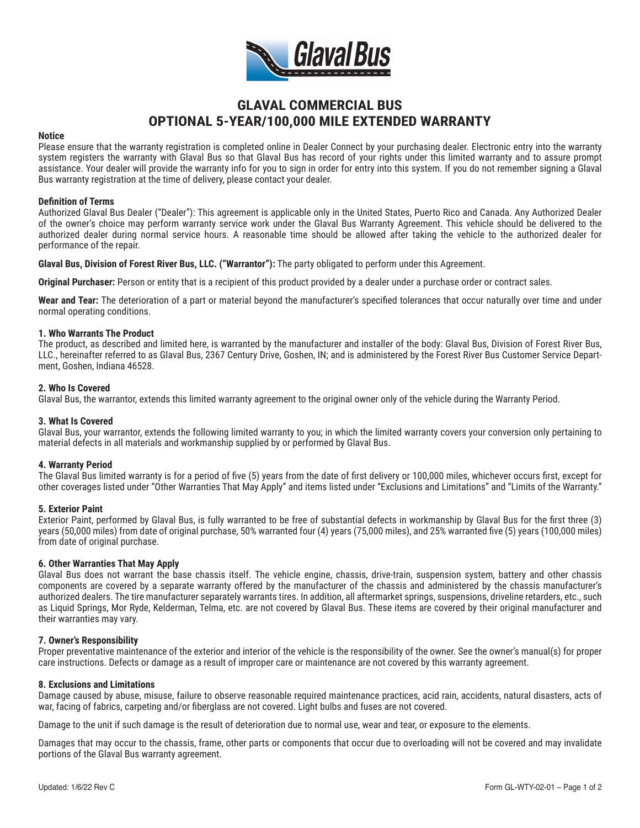

# **GLAVAL COMMERCIAL BUS OPTIONAL 5-YEAR/100,000 MILE EXTENDED WARRANTY**

#### **Notice**

Please ensure that the warranty registration is completed online in Dealer Connect by your purchasing dealer. Electronic entry into the warranty system registers the warranty with Glaval Bus so that Glaval Bus has record of your rights under this limited warranty and to assure prompt assistance. Your dealer will provide the warranty info for you to sign in order for entry into this system. If you do not remember signing a Glaval Bus warranty registration at the time of delivery, please contact your dealer.

#### **Definition of Terms**

Authorized Glaval Bus Dealer ("Dealer"): This agreement is applicable only in the United States, Puerto Rico and Canada. Any Authorized Dealer of the owner's choice may perform warranty service work under the Glaval Bus Warranty Agreement. This vehicle should be delivered to the authorized dealer during normal service hours. A reasonable time should be allowed after taking the vehicle to the authorized dealer for performance of the repair.

**Glaval Bus, Division of Forest River Bus, LLC. ("Warrantor"):** The party obligated to perform under this Agreement.

**Original Purchaser:** Person or entity that is a recipient of this product provided by a dealer under a purchase order or contract sales.

**Wear and Tear:** The deterioration of a part or material beyond the manufacturer's specified tolerances that occur naturally over time and under normal operating conditions.

## **1. Who Warrants The Product**

The product, as described and limited here, is warranted by the manufacturer and installer of the body: Glaval Bus, Division of Forest River Bus, LLC., hereinafter referred to as Glaval Bus, 2367 Century Drive, Goshen, IN; and is administered by the Forest River Bus Customer Service Department, Goshen, Indiana 46528.

## **2. Who Is Covered**

Glaval Bus, the warrantor, extends this limited warranty agreement to the original owner only of the vehicle during the Warranty Period.

# **3. What Is Covered**

Glaval Bus, your warrantor, extends the following limited warranty to you; in which the limited warranty covers your conversion only pertaining to material defects in all materials and workmanship supplied by or performed by Glaval Bus.

#### **4. Warranty Period**

The Glaval Bus limited warranty is for a period of five (5) years from the date of first delivery or 100,000 miles, whichever occurs first, except for other coverages listed under "Other Warranties That May Apply" and items listed under "Exclusions and Limitations" and "Limits of the Warranty."

#### **5. Exterior Paint**

Exterior Paint, performed by Glaval Bus, is fully warranted to be free of substantial defects in workmanship by Glaval Bus for the first three (3) years (50,000 miles) from date of original purchase, 50% warranted four (4) years (75,000 miles), and 25% warranted five (5) years (100,000 miles) from date of original purchase.

#### **6. Other Warranties That May Apply**

Glaval Bus does not warrant the base chassis itself. The vehicle engine, chassis, drive-train, suspension system, battery and other chassis components are covered by a separate warranty offered by the manufacturer of the chassis and administered by the chassis manufacturer's authorized dealers. The tire manufacturer separately warrants tires. In addition, all aftermarket springs, suspensions, driveline retarders, etc., such as Liquid Springs, Mor Ryde, Kelderman, Telma, etc. are not covered by Glaval Bus. These items are covered by their original manufacturer and their warranties may vary.

#### **7. Owner's Responsibility**

Proper preventative maintenance of the exterior and interior of the vehicle is the responsibility of the owner. See the owner's manual(s) for proper care instructions. Defects or damage as a result of improper care or maintenance are not covered by this warranty agreement.

#### **8. Exclusions and Limitations**

Damage caused by abuse, misuse, failure to observe reasonable required maintenance practices, acid rain, accidents, natural disasters, acts of war, facing of fabrics, carpeting and/or fiberglass are not covered. Light bulbs and fuses are not covered.

Damage to the unit if such damage is the result of deterioration due to normal use, wear and tear, or exposure to the elements.

Damages that may occur to the chassis, frame, other parts or components that occur due to overloading will not be covered and may invalidate portions of the Glaval Bus warranty agreement.